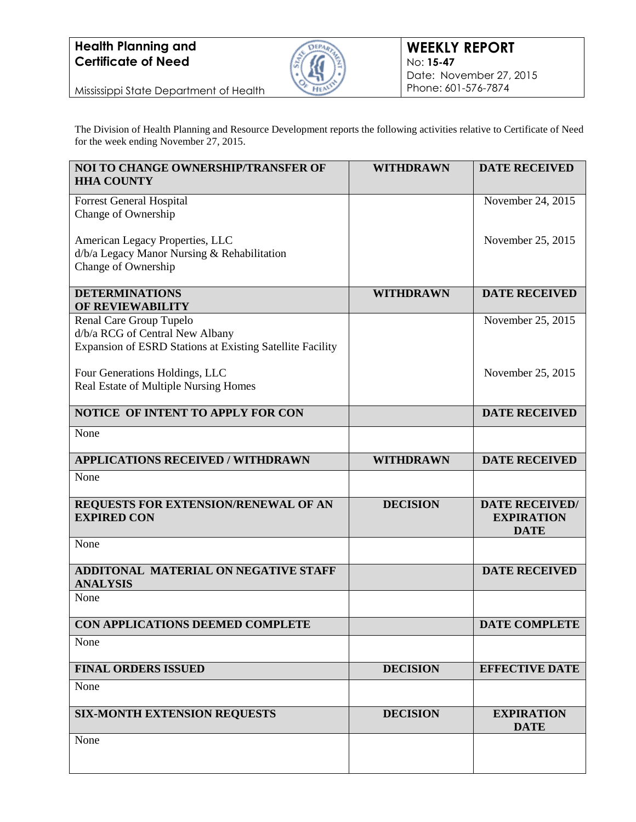

Mississippi State Department of Health

The Division of Health Planning and Resource Development reports the following activities relative to Certificate of Need for the week ending November 27, 2015.

| <b>NOI TO CHANGE OWNERSHIP/TRANSFER OF</b><br><b>HHA COUNTY</b>                                                         | <b>WITHDRAWN</b> | <b>DATE RECEIVED</b>                                      |
|-------------------------------------------------------------------------------------------------------------------------|------------------|-----------------------------------------------------------|
| <b>Forrest General Hospital</b><br>Change of Ownership                                                                  |                  | November 24, 2015                                         |
| American Legacy Properties, LLC<br>d/b/a Legacy Manor Nursing & Rehabilitation<br>Change of Ownership                   |                  | November 25, 2015                                         |
| <b>DETERMINATIONS</b><br><b>OF REVIEWABILITY</b>                                                                        | <b>WITHDRAWN</b> | <b>DATE RECEIVED</b>                                      |
| Renal Care Group Tupelo<br>d/b/a RCG of Central New Albany<br>Expansion of ESRD Stations at Existing Satellite Facility |                  | November 25, 2015                                         |
| Four Generations Holdings, LLC<br>Real Estate of Multiple Nursing Homes                                                 |                  | November 25, 2015                                         |
| NOTICE OF INTENT TO APPLY FOR CON                                                                                       |                  | <b>DATE RECEIVED</b>                                      |
| None                                                                                                                    |                  |                                                           |
| <b>APPLICATIONS RECEIVED / WITHDRAWN</b>                                                                                | <b>WITHDRAWN</b> | <b>DATE RECEIVED</b>                                      |
| None                                                                                                                    |                  |                                                           |
| REQUESTS FOR EXTENSION/RENEWAL OF AN<br><b>EXPIRED CON</b>                                                              | <b>DECISION</b>  | <b>DATE RECEIVED/</b><br><b>EXPIRATION</b><br><b>DATE</b> |
| None                                                                                                                    |                  |                                                           |
| <b>ADDITONAL MATERIAL ON NEGATIVE STAFF</b><br><b>ANALYSIS</b>                                                          |                  | <b>DATE RECEIVED</b>                                      |
| None                                                                                                                    |                  |                                                           |
| CON APPLICATIONS DEEMED COMPLETE                                                                                        |                  | <b>DATE COMPLETE</b>                                      |
| None                                                                                                                    |                  |                                                           |
| <b>FINAL ORDERS ISSUED</b>                                                                                              | <b>DECISION</b>  | <b>EFFECTIVE DATE</b>                                     |
| None                                                                                                                    |                  |                                                           |
| <b>SIX-MONTH EXTENSION REQUESTS</b>                                                                                     | <b>DECISION</b>  | <b>EXPIRATION</b><br><b>DATE</b>                          |
| None                                                                                                                    |                  |                                                           |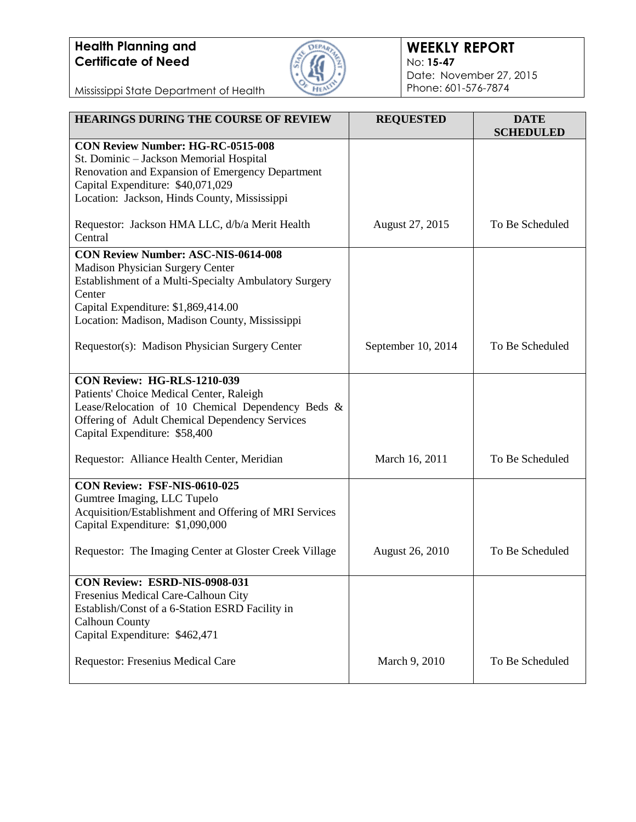

### **WEEKLY REPORT** No: **15-47** Date: November 27, 2015 Phone: 601-576-7874

Mississippi State Department of Health

| <b>HEARINGS DURING THE COURSE OF REVIEW</b>                                            | <b>REQUESTED</b>       | <b>DATE</b><br><b>SCHEDULED</b> |
|----------------------------------------------------------------------------------------|------------------------|---------------------------------|
| <b>CON Review Number: HG-RC-0515-008</b>                                               |                        |                                 |
| St. Dominic - Jackson Memorial Hospital                                                |                        |                                 |
| Renovation and Expansion of Emergency Department<br>Capital Expenditure: \$40,071,029  |                        |                                 |
| Location: Jackson, Hinds County, Mississippi                                           |                        |                                 |
|                                                                                        |                        |                                 |
| Requestor: Jackson HMA LLC, d/b/a Merit Health                                         | August 27, 2015        | To Be Scheduled                 |
| Central                                                                                |                        |                                 |
| <b>CON Review Number: ASC-NIS-0614-008</b><br><b>Madison Physician Surgery Center</b>  |                        |                                 |
| Establishment of a Multi-Specialty Ambulatory Surgery                                  |                        |                                 |
| Center                                                                                 |                        |                                 |
| Capital Expenditure: \$1,869,414.00                                                    |                        |                                 |
| Location: Madison, Madison County, Mississippi                                         |                        |                                 |
| Requestor(s): Madison Physician Surgery Center                                         | September 10, 2014     | To Be Scheduled                 |
|                                                                                        |                        |                                 |
| <b>CON Review: HG-RLS-1210-039</b>                                                     |                        |                                 |
| Patients' Choice Medical Center, Raleigh                                               |                        |                                 |
| Lease/Relocation of 10 Chemical Dependency Beds &                                      |                        |                                 |
| Offering of Adult Chemical Dependency Services                                         |                        |                                 |
| Capital Expenditure: \$58,400                                                          |                        |                                 |
| Requestor: Alliance Health Center, Meridian                                            | March 16, 2011         | To Be Scheduled                 |
| CON Review: FSF-NIS-0610-025                                                           |                        |                                 |
| Gumtree Imaging, LLC Tupelo                                                            |                        |                                 |
| Acquisition/Establishment and Offering of MRI Services                                 |                        |                                 |
| Capital Expenditure: \$1,090,000                                                       |                        |                                 |
| Requestor: The Imaging Center at Gloster Creek Village                                 | <b>August 26, 2010</b> | To Be Scheduled                 |
|                                                                                        |                        |                                 |
| CON Review: ESRD-NIS-0908-031                                                          |                        |                                 |
| Fresenius Medical Care-Calhoun City<br>Establish/Const of a 6-Station ESRD Facility in |                        |                                 |
| <b>Calhoun County</b>                                                                  |                        |                                 |
| Capital Expenditure: \$462,471                                                         |                        |                                 |
|                                                                                        |                        |                                 |
| Requestor: Fresenius Medical Care                                                      | March 9, 2010          | To Be Scheduled                 |
|                                                                                        |                        |                                 |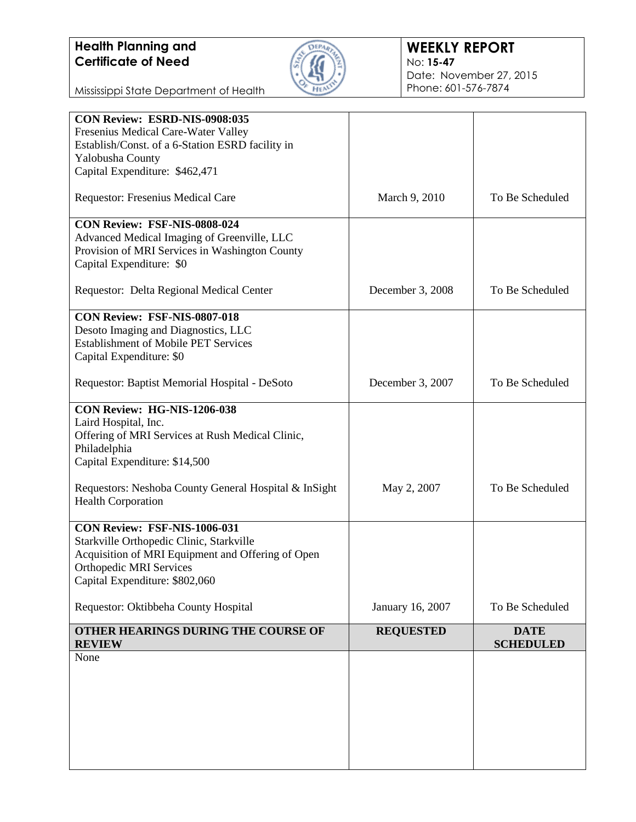

#### **WEEKLY REPORT** No: **15-47** Date: November 27, 2015 Phone: 601-576-7874

Mississippi State Department of Health

| CON Review: ESRD-NIS-0908:035                                                      |                  |                  |
|------------------------------------------------------------------------------------|------------------|------------------|
| Fresenius Medical Care-Water Valley                                                |                  |                  |
| Establish/Const. of a 6-Station ESRD facility in                                   |                  |                  |
| Yalobusha County                                                                   |                  |                  |
| Capital Expenditure: \$462,471                                                     |                  |                  |
|                                                                                    |                  |                  |
| Requestor: Fresenius Medical Care                                                  | March 9, 2010    | To Be Scheduled  |
| CON Review: FSF-NIS-0808-024                                                       |                  |                  |
| Advanced Medical Imaging of Greenville, LLC                                        |                  |                  |
| Provision of MRI Services in Washington County                                     |                  |                  |
| Capital Expenditure: \$0                                                           |                  |                  |
| Requestor: Delta Regional Medical Center                                           | December 3, 2008 | To Be Scheduled  |
| CON Review: FSF-NIS-0807-018                                                       |                  |                  |
| Desoto Imaging and Diagnostics, LLC                                                |                  |                  |
| <b>Establishment of Mobile PET Services</b>                                        |                  |                  |
| Capital Expenditure: \$0                                                           |                  |                  |
|                                                                                    |                  |                  |
| Requestor: Baptist Memorial Hospital - DeSoto                                      | December 3, 2007 | To Be Scheduled  |
| CON Review: HG-NIS-1206-038                                                        |                  |                  |
| Laird Hospital, Inc.                                                               |                  |                  |
| Offering of MRI Services at Rush Medical Clinic,                                   |                  |                  |
| Philadelphia                                                                       |                  |                  |
| Capital Expenditure: \$14,500                                                      |                  |                  |
|                                                                                    |                  |                  |
| Requestors: Neshoba County General Hospital & InSight<br><b>Health Corporation</b> | May 2, 2007      | To Be Scheduled  |
|                                                                                    |                  |                  |
| CON Review: FSF-NIS-1006-031                                                       |                  |                  |
| Starkville Orthopedic Clinic, Starkville                                           |                  |                  |
| Acquisition of MRI Equipment and Offering of Open                                  |                  |                  |
| <b>Orthopedic MRI Services</b>                                                     |                  |                  |
| Capital Expenditure: \$802,060                                                     |                  |                  |
| Requestor: Oktibbeha County Hospital                                               | January 16, 2007 | To Be Scheduled  |
| OTHER HEARINGS DURING THE COURSE OF                                                | <b>REQUESTED</b> | <b>DATE</b>      |
| <b>REVIEW</b>                                                                      |                  | <b>SCHEDULED</b> |
| None                                                                               |                  |                  |
|                                                                                    |                  |                  |
|                                                                                    |                  |                  |
|                                                                                    |                  |                  |
|                                                                                    |                  |                  |
|                                                                                    |                  |                  |
|                                                                                    |                  |                  |
|                                                                                    |                  |                  |